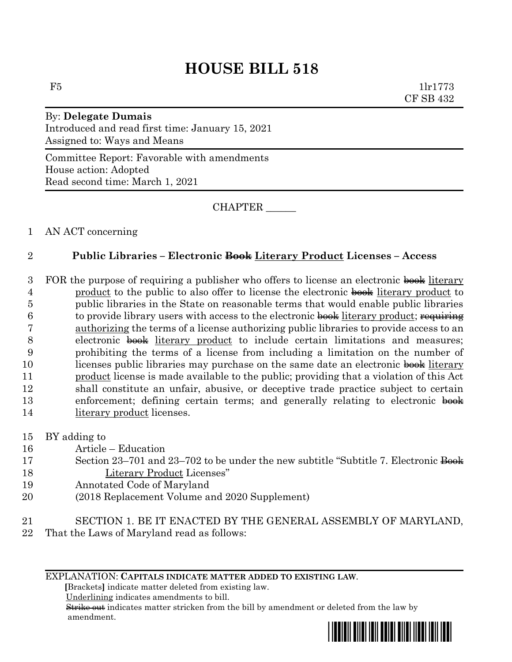# **HOUSE BILL 518**

 $F5$  1lr1773 CF SB 432

## By: **Delegate Dumais** Introduced and read first time: January 15, 2021 Assigned to: Ways and Means

Committee Report: Favorable with amendments House action: Adopted Read second time: March 1, 2021

CHAPTER \_\_\_\_\_\_

### 1 AN ACT concerning

## 2 **Public Libraries – Electronic Book Literary Product Licenses – Access**

3 FOR the purpose of requiring a publisher who offers to license an electronic book literary 4 product to the public to also offer to license the electronic book literary product to 5 public libraries in the State on reasonable terms that would enable public libraries  $6$  to provide library users with access to the electronic book literary product; requiring 7 authorizing the terms of a license authorizing public libraries to provide access to an 8 electronic  $\frac{1}{2}$  electronic  $\frac{1}{2}$  electronic  $\frac{1}{2}$  electronic  $\frac{1}{2}$  electronic  $\frac{1}{2}$  electronic  $\frac{1}{2}$  electronic  $\frac{1}{2}$  electronic  $\frac{1}{2}$  electronic  $\frac{1}{2}$  electronic  $\frac{1}{2}$  electronic 9 prohibiting the terms of a license from including a limitation on the number of 10 licenses public libraries may purchase on the same date an electronic book literary 11 product license is made available to the public; providing that a violation of this Act 12 shall constitute an unfair, abusive, or deceptive trade practice subject to certain 13 enforcement; defining certain terms; and generally relating to electronic book 14 literary product licenses.

- 15 BY adding to
- 16 Article Education
- 17 Section 23–701 and 23–702 to be under the new subtitle "Subtitle 7. Electronic Book 18 Literary Product Licenses"
- 19 Annotated Code of Maryland
- 20 (2018 Replacement Volume and 2020 Supplement)
- 21 SECTION 1. BE IT ENACTED BY THE GENERAL ASSEMBLY OF MARYLAND,
- 22 That the Laws of Maryland read as follows:

#### EXPLANATION: **CAPITALS INDICATE MATTER ADDED TO EXISTING LAW**.

 **[**Brackets**]** indicate matter deleted from existing law.

Underlining indicates amendments to bill.

 Strike out indicates matter stricken from the bill by amendment or deleted from the law by amendment.

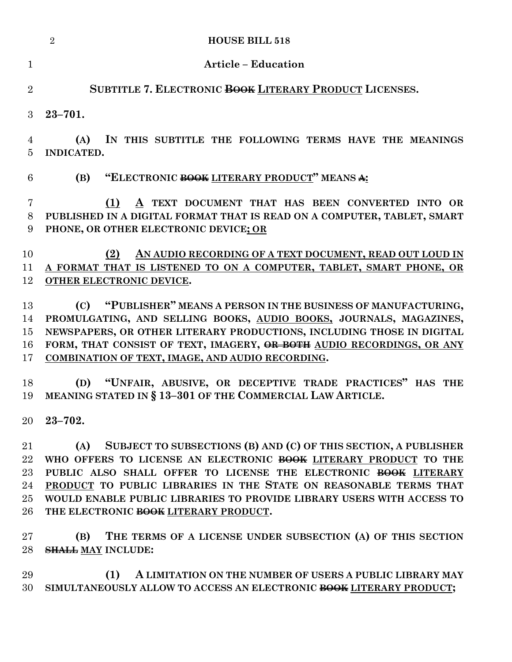|                                      | <b>HOUSE BILL 518</b><br>$\overline{2}$                                                                                                                                                                                                                                                                                                                                                              |
|--------------------------------------|------------------------------------------------------------------------------------------------------------------------------------------------------------------------------------------------------------------------------------------------------------------------------------------------------------------------------------------------------------------------------------------------------|
| $\mathbf{1}$                         | <b>Article - Education</b>                                                                                                                                                                                                                                                                                                                                                                           |
| $\overline{2}$                       | SUBTITLE 7. ELECTRONIC BOOK LITERARY PRODUCT LICENSES.                                                                                                                                                                                                                                                                                                                                               |
| 3                                    | $23 - 701.$                                                                                                                                                                                                                                                                                                                                                                                          |
| 4<br>5                               | IN THIS SUBTITLE THE FOLLOWING TERMS HAVE THE MEANINGS<br>(A)<br>INDICATED.                                                                                                                                                                                                                                                                                                                          |
| 6                                    | "ELECTRONIC BOOK LITERARY PRODUCT" MEANS A:<br>(B)                                                                                                                                                                                                                                                                                                                                                   |
| $\overline{7}$<br>8<br>9             | A TEXT DOCUMENT THAT HAS BEEN CONVERTED INTO OR<br>(1)<br>PUBLISHED IN A DIGITAL FORMAT THAT IS READ ON A COMPUTER, TABLET, SMART<br>PHONE, OR OTHER ELECTRONIC DEVICE; OR                                                                                                                                                                                                                           |
| 10<br>11<br>12                       | AN AUDIO RECORDING OF A TEXT DOCUMENT, READ OUT LOUD IN<br>(2)<br>A FORMAT THAT IS LISTENED TO ON A COMPUTER, TABLET, SMART PHONE, OR<br>OTHER ELECTRONIC DEVICE.                                                                                                                                                                                                                                    |
| 13<br>14<br>15<br>16<br>17           | "PUBLISHER" MEANS A PERSON IN THE BUSINESS OF MANUFACTURING,<br>(C)<br>PROMULGATING, AND SELLING BOOKS, AUDIO BOOKS, JOURNALS, MAGAZINES,<br>NEWSPAPERS, OR OTHER LITERARY PRODUCTIONS, INCLUDING THOSE IN DIGITAL<br>FORM, THAT CONSIST OF TEXT, IMAGERY, OR BOTH AUDIO RECORDINGS, OR ANY<br>COMBINATION OF TEXT, IMAGE, AND AUDIO RECORDING.                                                      |
| 18<br>19                             | "UNFAIR, ABUSIVE, OR DECEPTIVE TRADE PRACTICES" HAS THE<br>(D)<br>MEANING STATED IN § 13-301 OF THE COMMERCIAL LAW ARTICLE.                                                                                                                                                                                                                                                                          |
| $20\,$                               | $23 - 702.$                                                                                                                                                                                                                                                                                                                                                                                          |
| 21<br>22<br>23<br>24<br>$25\,$<br>26 | SUBJECT TO SUBSECTIONS (B) AND (C) OF THIS SECTION, A PUBLISHER<br>(A)<br>WHO OFFERS TO LICENSE AN ELECTRONIC BOOK LITERARY PRODUCT TO THE<br>PUBLIC ALSO SHALL OFFER TO LICENSE THE ELECTRONIC BOOK LITERARY<br>PRODUCT TO PUBLIC LIBRARIES IN THE STATE ON REASONABLE TERMS THAT<br>WOULD ENABLE PUBLIC LIBRARIES TO PROVIDE LIBRARY USERS WITH ACCESS TO<br>THE ELECTRONIC BOOK LITERARY PRODUCT. |
| $27\,$<br>28                         | THE TERMS OF A LICENSE UNDER SUBSECTION (A) OF THIS SECTION<br>(B)<br><b>SHALL MAY INCLUDE:</b>                                                                                                                                                                                                                                                                                                      |
| 29<br>30                             | (1)<br>A LIMITATION ON THE NUMBER OF USERS A PUBLIC LIBRARY MAY<br>SIMULTANEOUSLY ALLOW TO ACCESS AN ELECTRONIC BOOK LITERARY PRODUCT;                                                                                                                                                                                                                                                               |
|                                      |                                                                                                                                                                                                                                                                                                                                                                                                      |